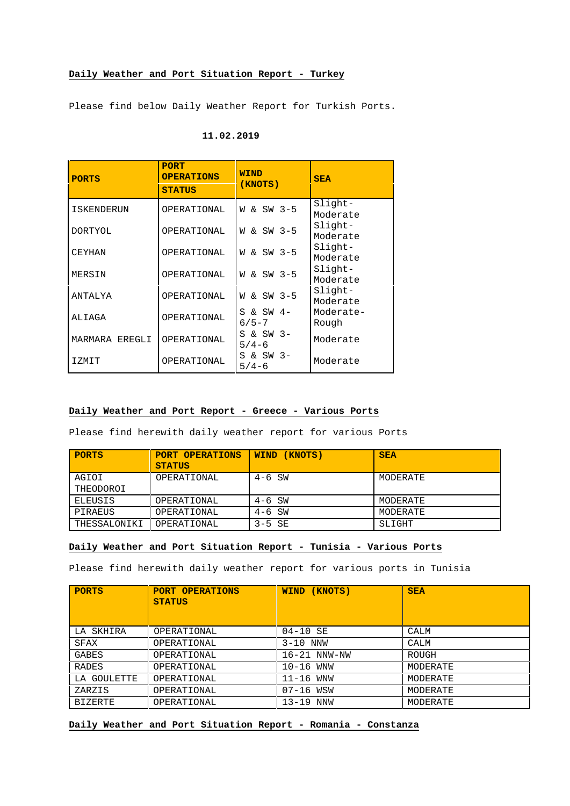## **Daily Weather and Port Situation Report - Turkey**

Please find below Daily Weather Report for Turkish Ports.

| <b>PORTS</b>      | <b>PORT</b><br><b>OPERATIONS</b><br><b>STATUS</b> | <b>WIND</b><br>(KNOTS)   | <b>SEA</b>            |
|-------------------|---------------------------------------------------|--------------------------|-----------------------|
| <b>ISKENDERUN</b> | OPERATIONAL                                       | W & SW 3-5               | $Slight-$<br>Moderate |
| <b>DORTYOL</b>    | OPERATIONAL                                       | W & SW 3-5               | Slight-<br>Moderate   |
| CEYHAN            | OPERATIONAL                                       | & SW 3-5<br>M            | Slight-<br>Moderate   |
| MERSIN            | OPERATIONAL                                       | & SW 3-5<br>W            | Slight-<br>Moderate   |
| ANTALYA           | OPERATIONAL                                       | W & SW 3-5               | Slight-<br>Moderate   |
| ALIAGA            | OPERATIONAL                                       | $S & SN$ 4-<br>$6/5 - 7$ | Moderate-<br>Rough    |
| MARMARA EREGLI    | OPERATIONAL                                       | S & SW 3-<br>$5/4 - 6$   | Moderate              |
| IZMIT             | OPERATIONAL                                       | S & SW 3-<br>$5/4-6$     | Moderate              |

## **11.02.2019**

## **Daily Weather and Port Report - Greece - Various Ports**

Please find herewith daily weather report for various Ports

| <b>PORTS</b>       | <b>PORT OPERATIONS</b><br><b>STATUS</b> | (KNOTS)<br><b>WIND</b> | <b>SEA</b> |
|--------------------|-----------------------------------------|------------------------|------------|
| AGIOI<br>THEODOROI | OPERATIONAL                             | $4-6$ SW               | MODERATE   |
| ELEUSIS            | OPERATIONAL                             | $4-6$ SW               | MODERATE   |
| PIRAEUS            | OPERATIONAL                             | $4-6$ SW               | MODERATE   |
| THESSALONIKI       | OPERATIONAL                             | $3-5$ SE               | SLIGHT     |

## **Daily Weather and Port Situation Report - Tunisia - Various Ports**

Please find herewith daily weather report for various ports in Tunisia

| <b>PORTS</b>   | <b>PORT OPERATIONS</b><br><b>STATUS</b> | (KNOTS)<br><b>WIND</b> | <b>SEA</b> |
|----------------|-----------------------------------------|------------------------|------------|
| LA SKHIRA      | OPERATIONAL                             | 04-10 SE               | CALM       |
| SFAX           | OPERATIONAL                             | $3-10$ NNW             | CALM       |
| GABES          | OPERATIONAL                             | $16-21$ NNW-NW         | ROUGH      |
| RADES          | OPERATIONAL                             | $10-16$ WNW            | MODERATE   |
| LA GOULETTE    | OPERATIONAL                             | $11-16$ WNW            | MODERATE   |
| ZARZIS         | OPERATIONAL                             | 07-16 WSW              | MODERATE   |
| <b>BIZERTE</b> | OPERATIONAL                             | 13-19 NNW              | MODERATE   |

**Daily Weather and Port Situation Report - Romania - Constanza**